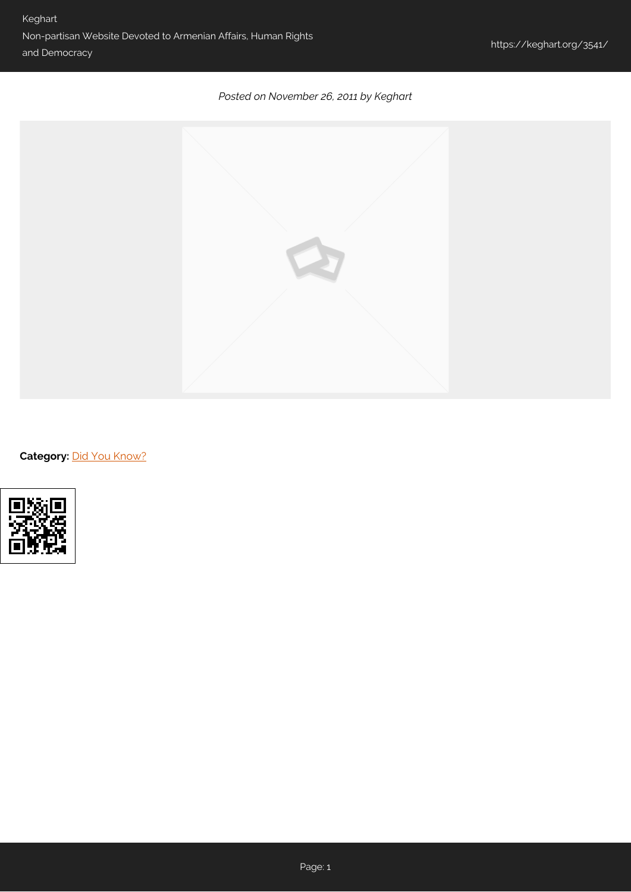## *Posted on November 26, 2011 by Keghart*



**Category: [Did You Know?](https://keghart.org/category/did-you-know/)**